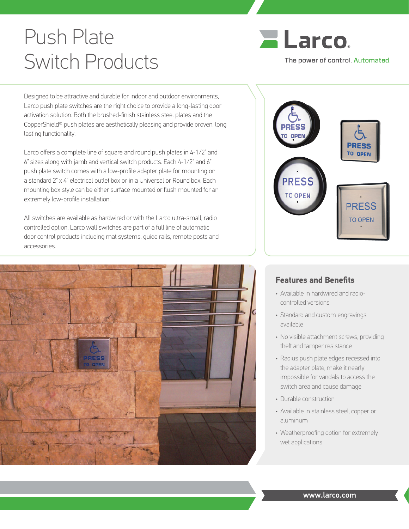# Push Plate Switch Products



Designed to be attractive and durable for indoor and outdoor environments, Larco push plate switches are the right choice to provide a long-lasting door activation solution. Both the brushed-finish stainless steel plates and the CopperShield® push plates are aesthetically pleasing and provide proven, long lasting functionality.

Larco offers a complete line of square and round push plates in 4-1/2" and 6" sizes along with jamb and vertical switch products. Each 4-1/2" and 6" push plate switch comes with a low-profile adapter plate for mounting on a standard 2" x 4" electrical outlet box or in a Universal or Round box. Each mounting box style can be either surface mounted or flush mounted for an extremely low-profile installation.

All switches are available as hardwired or with the Larco ultra-small, radio controlled option. Larco wall switches are part of a full line of automatic door control products including mat systems, guide rails, remote posts and accessories.





#### **Features and Benefits**

- Available in hardwired and radiocontrolled versions
- Standard and custom engravings available
- No visible attachment screws, providing theft and tamper resistance
- Radius push plate edges recessed into the adapter plate, make it nearly impossible for vandals to access the switch area and cause damage
- Durable construction
- Available in stainless steel, copper or aluminum
- Weatherproofing option for extremely wet applications